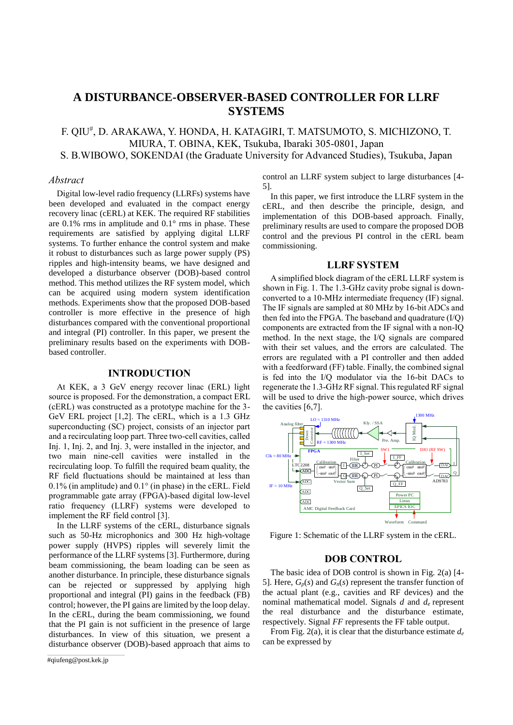# **A DISTURBANCE-OBSERVER-BASED CONTROLLER FOR LLRF SYSTEMS**

F. QIU# , D. ARAKAWA, Y. HONDA, H. KATAGIRI, T. MATSUMOTO, S. MICHIZONO, T. MIURA, T. OBINA, KEK, Tsukuba, Ibaraki 305-0801, Japan

S. B.WIBOWO, SOKENDAI (the Graduate University for Advanced Studies), Tsukuba, Japan

# *Abstract*

Digital low-level radio frequency (LLRFs) systems have been developed and evaluated in the compact energy recovery linac (cERL) at KEK. The required RF stabilities are 0.1% rms in amplitude and 0.1° rms in phase. These requirements are satisfied by applying digital LLRF systems. To further enhance the control system and make it robust to disturbances such as large power supply (PS) ripples and high-intensity beams, we have designed and developed a disturbance observer (DOB)-based control method. This method utilizes the RF system model, which can be acquired using modern system identification methods. Experiments show that the proposed DOB-based controller is more effective in the presence of high disturbances compared with the conventional proportional and integral (PI) controller. In this paper, we present the preliminary results based on the experiments with DOBbased controller.

# **INTRODUCTION**

At KEK, a 3 GeV energy recover linac (ERL) light source is proposed. For the demonstration, a compact ERL (cERL) was constructed as a prototype machine for the 3- GeV ERL project [1,2]. The cERL, which is a 1.3 GHz superconducting (SC) project, consists of an injector part and a recirculating loop part. Three two-cell cavities, called Inj. 1, Inj. 2, and Inj. 3, were installed in the injector, and two main nine-cell cavities were installed in the recirculating loop. To fulfill the required beam quality, the RF field fluctuations should be maintained at less than 0.1% (in amplitude) and 0.1° (in phase) in the cERL. Field programmable gate array (FPGA)-based digital low-level ratio frequency (LLRF) systems were developed to implement the RF field control [3].

In the LLRF systems of the cERL, disturbance signals such as 50-Hz microphonics and 300 Hz high-voltage power supply (HVPS) ripples will severely limit the performance of the LLRF systems [3]. Furthermore, during beam commissioning, the beam loading can be seen as another disturbance. In principle, these disturbance signals can be rejected or suppressed by applying high proportional and integral (PI) gains in the feedback (FB) control; however, the PI gains are limited by the loop delay. In the cERL, during the beam commissioning, we found that the PI gain is not sufficient in the presence of large disturbances. In view of this situation, we present a disturbance observer (DOB)-based approach that aims to

\_\_\_\_\_\_\_\_\_\_\_\_\_\_\_\_\_\_\_\_\_\_\_\_\_\_\_\_\_\_\_\_\_\_\_\_\_\_\_\_\_\_\_\_

control an LLRF system subject to large disturbances [4- 5].

In this paper, we first introduce the LLRF system in the cERL, and then describe the principle, design, and implementation of this DOB-based approach. Finally, preliminary results are used to compare the proposed DOB control and the previous PI control in the cERL beam commissioning.

# **LLRF SYSTEM**

A simplified block diagram of the cERL LLRF system is shown in Fig. 1. The 1.3-GHz cavity probe signal is downconverted to a 10-MHz intermediate frequency (IF) signal. The IF signals are sampled at 80 MHz by 16-bit ADCs and then fed into the FPGA. The baseband and quadrature (I/Q) components are extracted from the IF signal with a non-IQ method. In the next stage, the I/Q signals are compared with their set values, and the errors are calculated. The errors are regulated with a PI controller and then added with a feedforward (FF) table. Finally, the combined signal is fed into the I/Q modulator via the 16-bit DACs to regenerate the 1.3-GHz RF signal. This regulated RF signal will be used to drive the high-power source, which drives the cavities [6,7].



Figure 1: Schematic of the LLRF system in the cERL.

# **DOB CONTROL**

The basic idea of DOB control is shown in Fig. 2(a) [4- 5]. Here,  $G_p(s)$  and  $G_n(s)$  represent the transfer function of the actual plant (e.g., cavities and RF devices) and the nominal mathematical model. Signals *d* and *de* represent the real disturbance and the disturbance estimate, respectively. Signal *FF* represents the FF table output.

From Fig. 2(a), it is clear that the disturbance estimate *d<sup>e</sup>* can be expressed by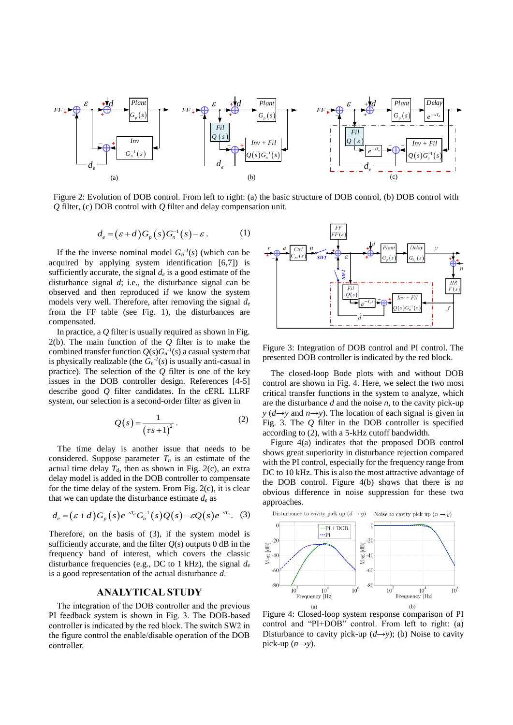

Figure 2: Evolution of DOB control. From left to right: (a) the basic structure of DOB control, (b) DOB control with *Q* filter, (c) DOB control with *Q* filter and delay compensation unit.

$$
d_e = (\varepsilon + d)G_p(s)G_n^{-1}(s) - \varepsilon.
$$
 (1)

If the the inverse nominal model  $G_n^{-1}(s)$  (which can be acquired by applying system identification [6,7]) is sufficiently accurate, the signal  $d_e$  is a good estimate of the disturbance signal *d*; i.e., the disturbance signal can be observed and then reproduced if we know the system models very well. Therefore, after removing the signal *d<sup>e</sup>* from the FF table (see Fig. 1), the disturbances are compensated.

In practice, a *Q* filter is usually required as shown in Fig. 2(b). The main function of the *Q* filter is to make the combined transfer function  $Q(s)G_n^{-1}(s)$  a casual system that is physically realizable (the  $G_n^{-1}(s)$  is usually anti-casual in practice). The selection of the *Q* filter is one of the key issues in the DOB controller design. References [4-5] describe good *Q* filter candidates. In the cERL LLRF system, our selection is a second-order filter as given in

$$
Q(s) = \frac{1}{(\tau s + 1)^2}.
$$
 (2)

 The time delay is another issue that needs to be considered. Suppose parameter  $T<sub>n</sub>$  is an estimate of the actual time delay  $T_d$ , then as shown in Fig. 2(c), an extra delay model is added in the DOB controller to compensate for the time delay of the system. From Fig. 2(c), it is clear

that we can update the disturbance estimate 
$$
d_e
$$
 as  
\n
$$
d_e = (\varepsilon + d)G_p(s)e^{-sT_d}G_n^{-1}(s)Q(s) - \varepsilon Q(s)e^{-sT_n}.
$$
 (3)

Therefore, on the basis of (3), if the system model is sufficiently accurate, and the filter  $O(s)$  outputs 0 dB in the frequency band of interest, which covers the classic disturbance frequencies (e.g., DC to 1 kHz), the signal *d<sup>e</sup>* is a good representation of the actual disturbance *d*.

### **ANALYTICAL STUDY**

The integration of the DOB controller and the previous PI feedback system is shown in Fig. 3. The DOB-based controller is indicated by the red block. The switch SW2 in the figure control the enable/disable operation of the DOB controller.



Figure 3: Integration of DOB control and PI control. The presented DOB controller is indicated by the red block.

The closed-loop Bode plots with and without DOB control are shown in Fig. 4. Here, we select the two most critical transfer functions in the system to analyze, which are the disturbance *d* and the noise *n,* to the cavity pick-up *y* ( $d \rightarrow y$  and  $n \rightarrow y$ ). The location of each signal is given in Fig. 3. The *Q* filter in the DOB controller is specified according to (2), with a 5-kHz cutoff bandwidth.

Figure 4(a) indicates that the proposed DOB control shows great superiority in disturbance rejection compared with the PI control, especially for the frequency range from DC to 10 kHz. This is also the most attractive advantage of the DOB control. Figure 4(b) shows that there is no obvious difference in noise suppression for these two approaches.



Figure 4: Closed-loop system response comparison of PI control and "PI+DOB" control. From left to right: (a) Disturbance to cavity pick-up  $(d \rightarrow y)$ ; (b) Noise to cavity pick-up  $(n\rightarrow y)$ .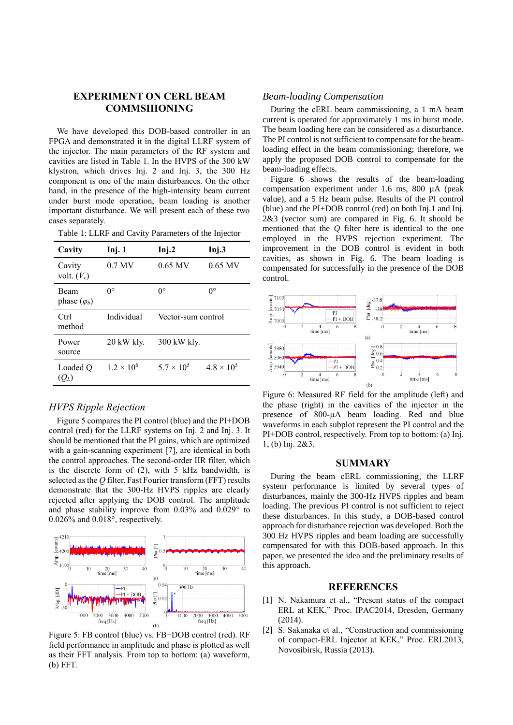# **EXPERIMENT ON CERL BEAM COMMSIIIONING**

We have developed this DOB-based controller in an FPGA and demonstrated it in the digital LLRF system of the injector. The main parameters of the RF system and cavities are listed in Table 1. In the HVPS of the 300 kW klystron, which drives Inj. 2 and Inj. 3, the 300 Hz component is one of the main disturbances. On the other hand, in the presence of the high-intensity beam current under burst mode operation, beam loading is another important disturbance. We will present each of these two cases separately.

Table 1: LLRF and Cavity Parameters of the Injector

| Cavity                             | Inj. 1            | Inj.2               | Inj.3               |
|------------------------------------|-------------------|---------------------|---------------------|
| Cavity<br>volt. $(V_c)$            | $0.7$ MV          | $0.65$ MV           | $0.65$ MV           |
| <b>Beam</b><br>phase $(\varphi_b)$ | $0^{\circ}$       | $0^{\circ}$         | $0^{\circ}$         |
| Ctrl<br>method                     | Individual        | Vector-sum control  |                     |
| Power<br>source                    | 20 kW kly.        | 300 kW kly.         |                     |
| Loaded O<br>$(Q_L)$                | $1.2 \times 10^6$ | $5.7 \times 10^{5}$ | $4.8 \times 10^{5}$ |

# *HVPS Ripple Rejection*

Figure 5 compares the PI control (blue) and the PI+DOB control (red) for the LLRF systems on Inj. 2 and Inj. 3. It should be mentioned that the PI gains, which are optimized with a gain-scanning experiment [7], are identical in both the control approaches. The second-order IIR filter, which is the discrete form of (2), with 5 kHz bandwidth, is selected as the *Q* filter. Fast Fourier transform (FFT) results demonstrate that the 300-Hz HVPS ripples are clearly rejected after applying the DOB control. The amplitude and phase stability improve from 0.03% and 0.029° to 0.026% and 0.018°, respectively.



Figure 5: FB control (blue) vs. FB+DOB control (red). RF field performance in amplitude and phase is plotted as well as their FFT analysis. From top to bottom: (a) waveform, (b) FFT.

## *Beam-loading Compensation*

During the cERL beam commissioning, a 1 mA beam current is operated for approximately 1 ms in burst mode. The beam loading here can be considered as a disturbance. The PI control is not sufficient to compensate for the beamloading effect in the beam commissioning; therefore, we apply the proposed DOB control to compensate for the beam-loading effects.

Figure 6 shows the results of the beam-loading compensation experiment under 1.6 ms, 800 µA (peak value), and a 5 Hz beam pulse. Results of the PI control (blue) and the PI+DOB control (red) on both Inj.1 and Inj. 2&3 (vector sum) are compared in Fig. 6. It should be mentioned that the *Q* filter here is identical to the one employed in the HVPS rejection experiment. The improvement in the DOB control is evident in both cavities, as shown in Fig. 6. The beam loading is compensated for successfully in the presence of the DOB control.



Figure 6: Measured RF field for the amplitude (left) and the phase (right) in the cavities of the injector in the presence of 800-µA beam loading. Red and blue waveforms in each subplot represent the PI control and the PI+DOB control, respectively. From top to bottom: (a) Inj. 1, (b) Inj. 2&3.

### **SUMMARY**

During the beam cERL commissioning, the LLRF system performance is limited by several types of disturbances, mainly the 300-Hz HVPS ripples and beam loading. The previous PI control is not sufficient to reject these disturbances. In this study, a DOB-based control approach for disturbance rejection was developed. Both the 300 Hz HVPS ripples and beam loading are successfully compensated for with this DOB-based approach. In this paper, we presented the idea and the preliminary results of this approach.

#### **REFERENCES**

- [1] N. Nakamura et al., "Present status of the compact ERL at KEK," Proc. IPAC2014, Dresden, Germany (2014).
- [2] S. Sakanaka et al., "Construction and commissioning of compact-ERL Injector at KEK," Proc. ERL2013, Novosibirsk, Russia (2013).